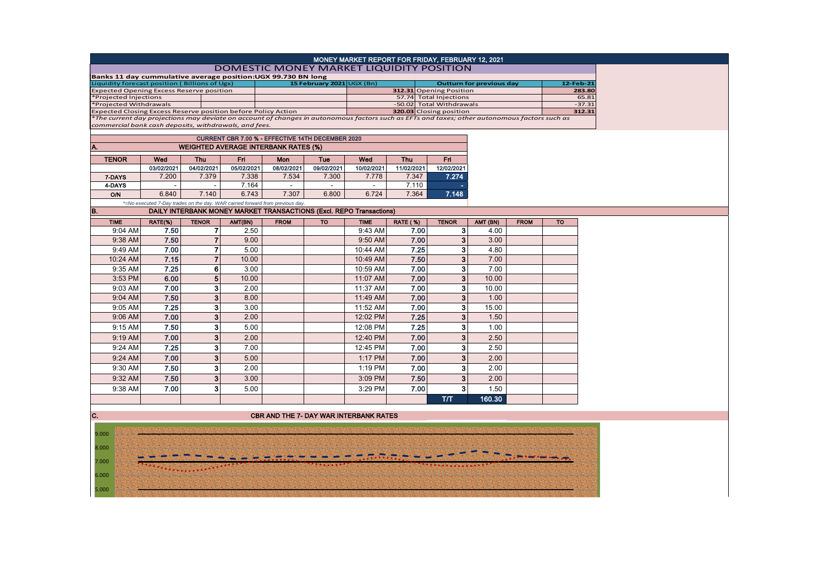| MONEY MARKET REPORT FOR FRIDAY, FEBRUARY 12, 2021                                                                                                                                                      |             |                     |
|--------------------------------------------------------------------------------------------------------------------------------------------------------------------------------------------------------|-------------|---------------------|
| DOMESTIC MONEY MARKET LIQUIDITY POSITION                                                                                                                                                               |             |                     |
| Banks 11 day cummulative average position:UGX 99.730 BN long                                                                                                                                           |             |                     |
| Liquidity forecast position (Billions of Ugx)<br>15 February 2021 UGX (Bn)<br><b>Outturn for previous day</b><br><b>Expected Opening Excess Reserve position</b><br>312.31 Opening Position            |             | 12-Feb-21<br>283.80 |
| 57.74 Total Injections<br>*Projected Injections                                                                                                                                                        |             | 65.81               |
| *Projected Withdrawals<br>-50.02 Total Withdrawals                                                                                                                                                     |             | $-37.31$            |
| 320.03 Closing position<br>Expected Closing Excess Reserve position before Policy Action                                                                                                               |             | 312.31              |
| *The current day projections may deviate on account of changes in autonomous factors such as EFTs and taxes; other autonomous factors such as<br>commercial bank cash deposits, withdrawals, and fees. |             |                     |
| CURRENT CBR 7.00 % - EFFECTIVE 14TH DECEMBER 2020                                                                                                                                                      |             |                     |
| A.<br><b>WEIGHTED AVERAGE INTERBANK RATES (%)</b>                                                                                                                                                      |             |                     |
| Fri.<br><b>TENOR</b><br>Fri<br>Wed<br><b>Thu</b><br>Wed<br><b>Thu</b><br>Mon<br>Tue                                                                                                                    |             |                     |
| 03/02/2021<br>04/02/2021<br>05/02/2021<br>08/02/2021<br>09/02/2021<br>10/02/2021<br>11/02/2021<br>12/02/2021                                                                                           |             |                     |
| 7.274<br>7.200<br>7.338<br>7.534<br>7.778<br>7.347<br>7.379<br>7.300<br>7-DAYS                                                                                                                         |             |                     |
| 7.164<br>7.110<br>4-DAYS<br>$\sim$<br>$\sim$                                                                                                                                                           |             |                     |
| 6.840<br>6.743<br>6.724<br>7.148<br>7.140<br>7.307<br>6.800<br>7.364<br><b>O/N</b>                                                                                                                     |             |                     |
| *=No executed 7-Day trades on the day. WAR carried forward from previous day<br>B.<br><b>DAILY INTERBANK MONEY MARKET TRANSACTIONS (Excl. REPO Transactions)</b>                                       |             |                     |
| <b>TIME</b><br>RATE(%)<br><b>FROM</b><br><b>TENOR</b><br><b>TENOR</b><br>AMT(BN)<br><b>TO</b><br><b>TIME</b><br><b>RATE (%)</b><br>AMT (BN)                                                            | <b>FROM</b> | <b>TO</b>           |
| 9:04 AM<br>7.50<br>$\overline{7}$<br>7.00<br>3 <sup>1</sup><br>2.50<br>9:43 AM<br>4.00                                                                                                                 |             |                     |
| $\overline{7}$<br>$\overline{\mathbf{3}}$<br>7.50<br>9:38 AM<br>9.00<br>9:50 AM<br>7.00<br>3.00                                                                                                        |             |                     |
| 7<br>3<br>7.00<br>5.00<br>7.25<br>4.80<br>9:49 AM<br>10:44 AM                                                                                                                                          |             |                     |
| $\overline{7}$<br>3<br>7.15<br>7.50<br>7.00<br>10:24 AM<br>10.00<br>10:49 AM                                                                                                                           |             |                     |
| 6<br>3<br>7.25<br>3.00<br>7.00<br>7.00<br>9:35 AM<br>10:59 AM                                                                                                                                          |             |                     |
| 5<br>3<br>6.00<br>7.00<br>3:53 PM<br>10.00<br>11:07 AM<br>10.00                                                                                                                                        |             |                     |
| 3<br>7.00<br>2.00<br>7.00<br>3<br>9:03 AM<br>11:37 AM<br>10.00                                                                                                                                         |             |                     |
| 3<br>7.50<br>3<br>7.00<br>8.00<br>9:04 AM<br>11:49 AM<br>1.00                                                                                                                                          |             |                     |
| 3<br>3<br>7.25<br>7.00<br>9:05 AM<br>3.00<br>15.00<br>11:52 AM                                                                                                                                         |             |                     |
| 3<br>7.00<br>7.25<br>3<br>2.00<br>1.50<br>9:06 AM<br>12:02 PM                                                                                                                                          |             |                     |
| 3<br>7.50<br>7.25<br>3<br>9:15 AM<br>5.00<br>12:08 PM<br>1.00                                                                                                                                          |             |                     |
| 3<br>7.00<br>3<br>9:19 AM<br>2.00<br>7.00<br>2.50<br>12:40 PM                                                                                                                                          |             |                     |
| 3<br>3<br>7.25<br>7.00<br>7.00<br>2.50<br>9:24 AM<br>12:45 PM                                                                                                                                          |             |                     |
| 3<br>$\overline{3}$<br>7.00<br>7.00<br>5.00<br>2.00<br>9:24 AM<br>1:17 PM                                                                                                                              |             |                     |
| $\overline{\mathbf{3}}$<br>3<br>9:30 AM<br>7.50<br>2.00<br>7.00<br>2.00<br>1:19 PM                                                                                                                     |             |                     |
| 3<br>$\mathbf{3}$<br>7.50<br>7.50<br>2.00<br>9:32 AM<br>3.00<br>3:09 PM                                                                                                                                |             |                     |
| 3<br>3<br>9:38 AM<br>7.00<br>5.00<br>3:29 PM<br>7.00<br>1.50                                                                                                                                           |             |                     |
| 160.30<br>T/T                                                                                                                                                                                          |             |                     |
|                                                                                                                                                                                                        |             |                     |

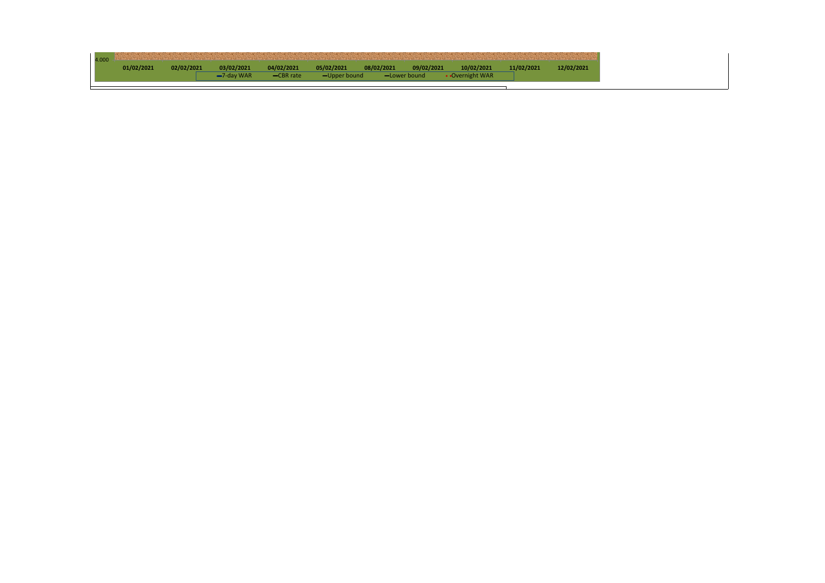| 4.000 |            |            |            |             |              |              |            |                 |            |  |
|-------|------------|------------|------------|-------------|--------------|--------------|------------|-----------------|------------|--|
|       | 01/02/2021 | 02/02/2021 | 03/02/2021 | 04/02/2021  | 05/02/2021   | 08/02/2021   | 09/02/2021 | 10/02/2021      | 11/02/2021 |  |
|       |            |            | -7-day WAR | $-CBR$ rate | -Upper bound | -Lower bound |            | • Overnight WAR |            |  |